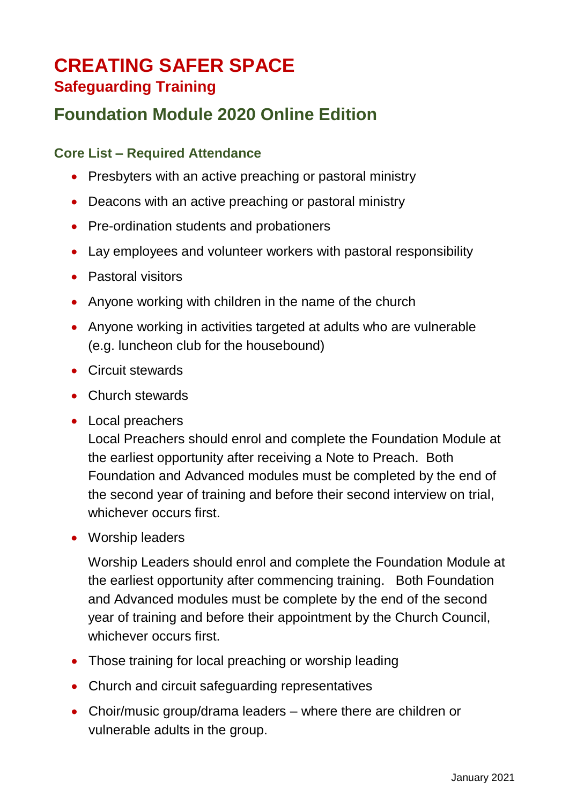# **CREATING SAFER SPACE**

### **Safeguarding Training**

## **Foundation Module 2020 Online Edition**

#### **Core List – Required Attendance**

- Presbyters with an active preaching or pastoral ministry
- Deacons with an active preaching or pastoral ministry
- Pre-ordination students and probationers
- Lay employees and volunteer workers with pastoral responsibility
- Pastoral visitors
- Anyone working with children in the name of the church
- Anyone working in activities targeted at adults who are vulnerable (e.g. luncheon club for the housebound)
- Circuit stewards
- Church stewards
- Local preachers

Local Preachers should enrol and complete the Foundation Module at the earliest opportunity after receiving a Note to Preach. Both Foundation and Advanced modules must be completed by the end of the second year of training and before their second interview on trial, whichever occurs first.

Worship leaders

Worship Leaders should enrol and complete the Foundation Module at the earliest opportunity after commencing training. Both Foundation and Advanced modules must be complete by the end of the second year of training and before their appointment by the Church Council, whichever occurs first.

- Those training for local preaching or worship leading
- Church and circuit safeguarding representatives
- Choir/music group/drama leaders where there are children or vulnerable adults in the group.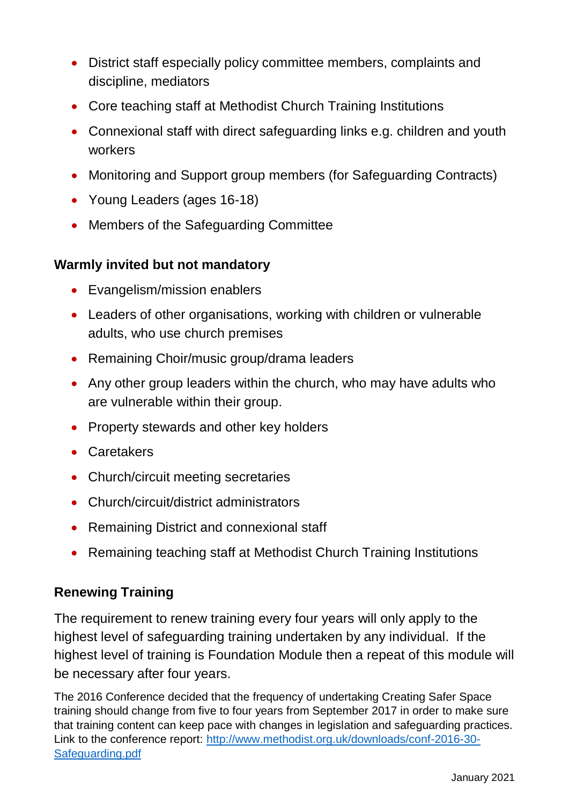- District staff especially policy committee members, complaints and discipline, mediators
- Core teaching staff at Methodist Church Training Institutions
- Connexional staff with direct safeguarding links e.g. children and youth workers
- Monitoring and Support group members (for Safeguarding Contracts)
- Young Leaders (ages 16-18)
- Members of the Safeguarding Committee

#### **Warmly invited but not mandatory**

- Evangelism/mission enablers
- Leaders of other organisations, working with children or vulnerable adults, who use church premises
- Remaining Choir/music group/drama leaders
- Any other group leaders within the church, who may have adults who are vulnerable within their group.
- Property stewards and other key holders
- Caretakers
- Church/circuit meeting secretaries
- Church/circuit/district administrators
- Remaining District and connexional staff
- Remaining teaching staff at Methodist Church Training Institutions

#### **Renewing Training**

The requirement to renew training every four years will only apply to the highest level of safeguarding training undertaken by any individual. If the highest level of training is Foundation Module then a repeat of this module will be necessary after four years.

The 2016 Conference decided that the frequency of undertaking Creating Safer Space training should change from five to four years from September 2017 in order to make sure that training content can keep pace with changes in legislation and safeguarding practices. Link to the conference report: [http://www.methodist.org.uk/downloads/conf-2016-30-](http://www.methodist.org.uk/downloads/conf-2016-30-Safeguarding.pdf) [Safeguarding.pdf](http://www.methodist.org.uk/downloads/conf-2016-30-Safeguarding.pdf)